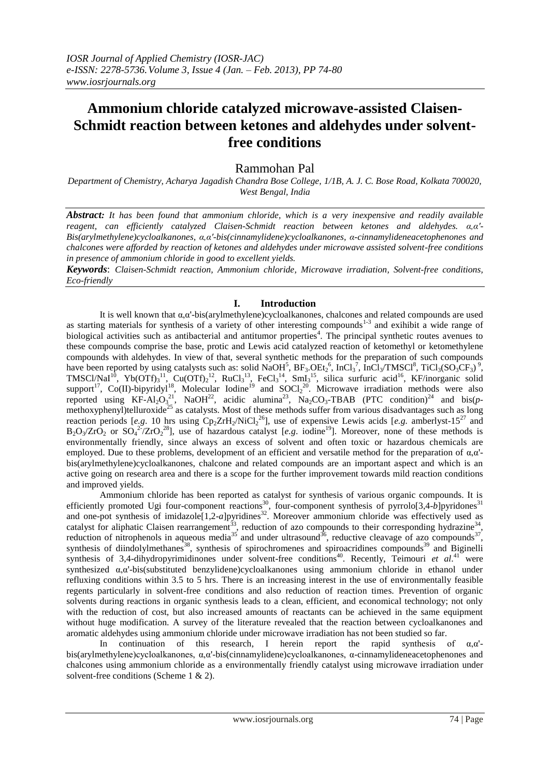# **Ammonium chloride catalyzed microwave-assisted Claisen-Schmidt reaction between ketones and aldehydes under solventfree conditions**

# Rammohan Pal

*Department of Chemistry, Acharya Jagadish Chandra Bose College, 1/1B, A. J. C. Bose Road, Kolkata 700020, West Bengal, India*

*Abstract: It has been found that ammonium chloride, which is a very inexpensive and readily available reagent, can efficiently catalyzed Claisen-Schmidt reaction between ketones and aldehydes. α,α'- Bis(arylmethylene)cycloalkanones, α,α'-bis(cinnamylidene)cycloalkanones, α-cinnamylideneacetophenones and chalcones were afforded by reaction of ketones and aldehydes under microwave assisted solvent-free conditions in presence of ammonium chloride in good to excellent yields.*

*Keywords*: *Claisen-Schmidt reaction, Ammonium chloride, Microwave irradiation, Solvent-free conditions, Eco-friendly*

# **I. Introduction**

It is well known that  $\alpha$ , $\alpha'$ -bis(arylmethylene)cycloalkanones, chalcones and related compounds are used as starting materials for synthesis of a variety of other interesting compounds $1-3$  and exihibit a wide range of biological activities such as antibacterial and antitumor properties<sup>4</sup>. The principal synthetic routes avenues to these compounds comprise the base, protic and Lewis acid catalyzed reaction of ketomethyl or ketomethylene compounds with aldehydes. In view of that, several synthetic methods for the preparation of such compounds have been reported by using catalysts such as: solid NaOH<sup>5</sup>,  $BF_3$ .OEt<sub>2</sub><sup>6</sup>, InCl<sub>3</sub><sup>7</sup>, InCl<sub>3</sub>/TMSCl<sup>8</sup>, TiCl<sub>3</sub>(SO<sub>3</sub>CF<sub>3</sub>)<sup>9</sup>, TMSCl/NaI<sup>10</sup>, Yb(OTf)<sub>3</sub><sup>11</sup>, Cu(OTf)<sub>2</sub><sup>12</sup>, RuCl<sub>3</sub><sup>13</sup>, FeCl<sub>3</sub><sup>14</sup>, SmI<sub>3</sub><sup>15</sup>, silica surfuric acid<sup>16</sup>, KF/inorganic solid support<sup>17</sup>, Co(II)-bipyridy<sup>18</sup>, Molecular Iodine<sup>19</sup> and SOCl<sub>2</sub><sup>20</sup>. Microwave irradiation methods were also reported using  $KF-Al_2O_3^{21}$ , NaOH<sup>22</sup>, acidic alumina<sup>23</sup>, Na<sub>2</sub>CO<sub>3</sub>-TBAB (PTC condition)<sup>24</sup> and bis(pmethoxyphenyl)telluroxide<sup>25</sup> as catalysts. Most of these methods suffer from various disadvantages such as long reaction periods [e.g. 10 hrs using  $Cp_2ZrH_2/NiCl_2^{26}$ ], use of expensive Lewis acids [e.g. amberlyst-15<sup>27</sup> and  $B_2O_3/ZrO_2$  or  $SO_4^2/ZrO_2^{28}$ ], use of hazardous catalyst [e.g. iodine<sup>19</sup>]. Moreover, none of these methods is environmentally friendly, since always an excess of solvent and often toxic or hazardous chemicals are employed. Due to these problems, development of an efficient and versatile method for the preparation of  $\alpha, \alpha'$ bis(arylmethylene)cycloalkanones, chalcone and related compounds are an important aspect and which is an active going on research area and there is a scope for the further improvement towards mild reaction conditions and improved yields.

Ammonium chloride has been reported as catalyst for synthesis of various organic compounds. It is efficiently promoted Ugi four-component reactions<sup>30</sup>, four-component synthesis of pyrrolo[3,4-*b*]pyridones<sup>31</sup> and one-pot synthesis of imidazole<sup>[1,2-*a*]pyridines<sup>32</sup>. Moreover ammonium chloride was effectively used as</sup> catalyst for aliphatic Claisen rearrangement<sup>33</sup>, reduction of azo compounds to their corresponding hydrazine<sup>34</sup>, reduction of nitrophenols in aqueous media<sup>35</sup> and under ultrasound<sup>36</sup>, reductive cleavage of azo compounds<sup>37</sup>, synthesis of diindolylmethanes<sup>38</sup>, synthesis of spirochromenes and spiroacridines compounds<sup>39</sup> and Biginelli synthesis of 3,4-dihydropyrimidinones under solvent-free conditions<sup>40</sup>. Recently, Teimouri *et al.*<sup>41</sup> were synthesized α,α'-bis(substituted benzylidene)cycloalkanones using ammonium chloride in ethanol under refluxing conditions within 3.5 to 5 hrs. There is an increasing interest in the use of environmentally feasible regents particularly in solvent-free conditions and also reduction of reaction times. Prevention of organic solvents during reactions in organic synthesis leads to a clean, efficient, and economical technology; not only with the reduction of cost, but also increased amounts of reactants can be achieved in the same equipment without huge modification. A survey of the literature revealed that the reaction between cycloalkanones and aromatic aldehydes using ammonium chloride under microwave irradiation has not been studied so far.

In continuation of this research, I herein report the rapid synthesis of  $\alpha, \alpha'$ bis(arylmethylene)cycloalkanones, α,α'-bis(cinnamylidene)cycloalkanones, α-cinnamylideneacetophenones and chalcones using ammonium chloride as a environmentally friendly catalyst using microwave irradiation under solvent-free conditions (Scheme 1 & 2).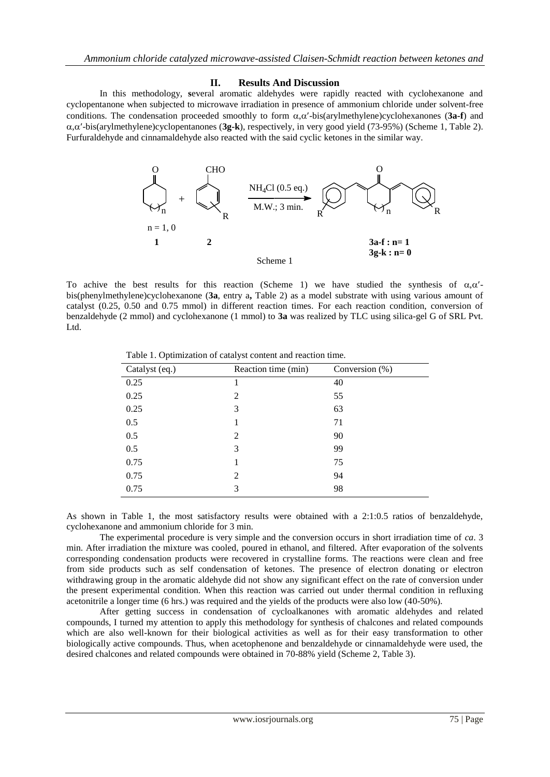# **II. Results And Discussion**

In this methodology, **s**everal aromatic aldehydes were rapidly reacted with cyclohexanone and cyclopentanone when subjected to microwave irradiation in presence of ammonium chloride under solvent-free conditions. The condensation proceeded smoothly to form  $\alpha$ , $\alpha'$ -bis(arylmethylene)cyclohexanones (3a-f) and ,-bis(arylmethylene)cyclopentanones (**3g-k**), respectively, in very good yield (73-95%) (Scheme 1, Table 2). Furfuraldehyde and cinnamaldehyde also reacted with the said cyclic ketones in the similar way.



To achive the best results for this reaction (Scheme 1) we have studied the synthesis of  $\alpha, \alpha'$ bis(phenylmethylene)cyclohexanone (**3a**, entry a**,** Table 2) as a model substrate with using various amount of catalyst (0.25, 0.50 and 0.75 mmol) in different reaction times. For each reaction condition, conversion of benzaldehyde (2 mmol) and cyclohexanone (1 mmol) to **3a** was realized by TLC using silica-gel G of SRL Pvt. Ltd.

| O<br>$^{+}$                        | <b>CHO</b><br>$NH_4Cl$ (0.5 eq.)<br>M.W.; 3 min.                              | O                                                                                                                                                                                                                                                                                                                                                                                                                                                                                                                                                                                                                                                                                                                                                                                                                                                                                                                                                                                                                                                                                                                                                                                                                    |  |
|------------------------------------|-------------------------------------------------------------------------------|----------------------------------------------------------------------------------------------------------------------------------------------------------------------------------------------------------------------------------------------------------------------------------------------------------------------------------------------------------------------------------------------------------------------------------------------------------------------------------------------------------------------------------------------------------------------------------------------------------------------------------------------------------------------------------------------------------------------------------------------------------------------------------------------------------------------------------------------------------------------------------------------------------------------------------------------------------------------------------------------------------------------------------------------------------------------------------------------------------------------------------------------------------------------------------------------------------------------|--|
| $n = 1, 0$                         | R                                                                             | n                                                                                                                                                                                                                                                                                                                                                                                                                                                                                                                                                                                                                                                                                                                                                                                                                                                                                                                                                                                                                                                                                                                                                                                                                    |  |
| 1                                  | $\overline{2}$<br>Scheme 1                                                    | $3a-f : n=1$<br>$3g-k : n = 0$                                                                                                                                                                                                                                                                                                                                                                                                                                                                                                                                                                                                                                                                                                                                                                                                                                                                                                                                                                                                                                                                                                                                                                                       |  |
|                                    |                                                                               | he best results for this reaction (Scheme 1) we have studied the synthesis of $\alpha, \alpha'$ -<br>thylene)cyclohexanone (3a, entry a, Table 2) as a model substrate with using various amount of<br>, 0.50 and 0.75 mmol) in different reaction times. For each reaction condition, conversion of<br>(2 mmol) and cyclohexanone (1 mmol) to 3a was realized by TLC using silica-gel G of SRL Pvt.                                                                                                                                                                                                                                                                                                                                                                                                                                                                                                                                                                                                                                                                                                                                                                                                                 |  |
|                                    | Table 1. Optimization of catalyst content and reaction time.                  |                                                                                                                                                                                                                                                                                                                                                                                                                                                                                                                                                                                                                                                                                                                                                                                                                                                                                                                                                                                                                                                                                                                                                                                                                      |  |
| Catalyst (eq.)                     | Reaction time (min)                                                           | Conversion $(\%)$                                                                                                                                                                                                                                                                                                                                                                                                                                                                                                                                                                                                                                                                                                                                                                                                                                                                                                                                                                                                                                                                                                                                                                                                    |  |
| 0.25                               | 1                                                                             | 40                                                                                                                                                                                                                                                                                                                                                                                                                                                                                                                                                                                                                                                                                                                                                                                                                                                                                                                                                                                                                                                                                                                                                                                                                   |  |
| 0.25                               | 2                                                                             | 55                                                                                                                                                                                                                                                                                                                                                                                                                                                                                                                                                                                                                                                                                                                                                                                                                                                                                                                                                                                                                                                                                                                                                                                                                   |  |
| 0.25                               | 3                                                                             | 63                                                                                                                                                                                                                                                                                                                                                                                                                                                                                                                                                                                                                                                                                                                                                                                                                                                                                                                                                                                                                                                                                                                                                                                                                   |  |
| 0.5                                | 1                                                                             | 71                                                                                                                                                                                                                                                                                                                                                                                                                                                                                                                                                                                                                                                                                                                                                                                                                                                                                                                                                                                                                                                                                                                                                                                                                   |  |
| 0.5                                | 2                                                                             | 90<br>99                                                                                                                                                                                                                                                                                                                                                                                                                                                                                                                                                                                                                                                                                                                                                                                                                                                                                                                                                                                                                                                                                                                                                                                                             |  |
| 0.5                                | 3                                                                             |                                                                                                                                                                                                                                                                                                                                                                                                                                                                                                                                                                                                                                                                                                                                                                                                                                                                                                                                                                                                                                                                                                                                                                                                                      |  |
| 0.75                               | 1<br>$\mathfrak{2}$                                                           | 75<br>94                                                                                                                                                                                                                                                                                                                                                                                                                                                                                                                                                                                                                                                                                                                                                                                                                                                                                                                                                                                                                                                                                                                                                                                                             |  |
| 0.75<br>0.75                       | 3                                                                             | 98                                                                                                                                                                                                                                                                                                                                                                                                                                                                                                                                                                                                                                                                                                                                                                                                                                                                                                                                                                                                                                                                                                                                                                                                                   |  |
|                                    |                                                                               |                                                                                                                                                                                                                                                                                                                                                                                                                                                                                                                                                                                                                                                                                                                                                                                                                                                                                                                                                                                                                                                                                                                                                                                                                      |  |
| e and ammonium chloride for 3 min. | ones and related compounds were obtained in 70-88% yield (Scheme 2, Table 3). | Table 1, the most satisfactory results were obtained with a 2:1:0.5 ratios of benzaldehyde,<br>experimental procedure is very simple and the conversion occurs in short irradiation time of ca. 3<br>adiation the mixture was cooled, poured in ethanol, and filtered. After evaporation of the solvents<br>condensation products were recovered in crystalline forms. The reactions were clean and free<br>oducts such as self condensation of ketones. The presence of electron donating or electron<br>group in the aromatic aldehyde did not show any significant effect on the rate of conversion under<br>sperimental condition. When this reaction was carried out under thermal condition in refluxing<br>longer time $(6 \text{ hrs.})$ was required and the yields of the products were also low $(40-50\%)$ .<br>getting success in condensation of cycloalkanones with aromatic aldehydes and related<br>turned my attention to apply this methodology for synthesis of chalcones and related compounds<br>so well-known for their biological activities as well as for their easy transformation to other<br>ctive compounds. Thus, when acetophenone and benzaldehyde or cinnamaldehyde were used, the |  |
|                                    | www.iosrjournals.org                                                          | $75$   Page                                                                                                                                                                                                                                                                                                                                                                                                                                                                                                                                                                                                                                                                                                                                                                                                                                                                                                                                                                                                                                                                                                                                                                                                          |  |

Table 1. Optimization of catalyst content and reaction time.

As shown in Table 1, the most satisfactory results were obtained with a 2:1:0.5 ratios of benzaldehyde, cyclohexanone and ammonium chloride for 3 min.

The experimental procedure is very simple and the conversion occurs in short irradiation time of *ca*. 3 min. After irradiation the mixture was cooled, poured in ethanol, and filtered. After evaporation of the solvents corresponding condensation products were recovered in crystalline forms. The reactions were clean and free from side products such as self condensation of ketones. The presence of electron donating or electron withdrawing group in the aromatic aldehyde did not show any significant effect on the rate of conversion under the present experimental condition. When this reaction was carried out under thermal condition in refluxing acetonitrile a longer time (6 hrs.) was required and the yields of the products were also low (40-50%).

After getting success in condensation of cycloalkanones with aromatic aldehydes and related compounds, I turned my attention to apply this methodology for synthesis of chalcones and related compounds which are also well-known for their biological activities as well as for their easy transformation to other biologically active compounds. Thus, when acetophenone and benzaldehyde or cinnamaldehyde were used, the desired chalcones and related compounds were obtained in 70-88% yield (Scheme 2, Table 3).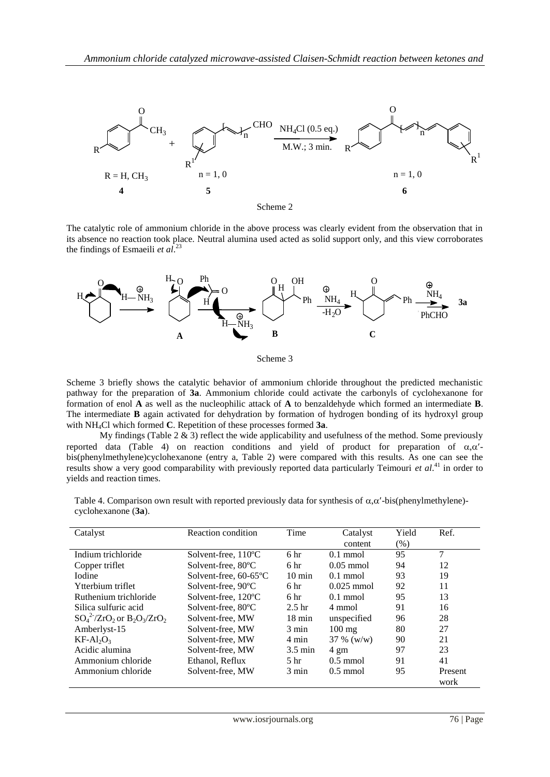

Scheme 2

The catalytic role of ammonium chloride in the above process was clearly evident from the observation that in its absence no reaction took place. Neutral alumina used acted as solid support only, and this view corroborates the findings of Esmaeili *et al*. 23



Scheme 3

Scheme 3 briefly shows the catalytic behavior of ammonium chloride throughout the predicted mechanistic pathway for the preparation of **3a**. Ammonium chloride could activate the carbonyls of cyclohexanone for formation of enol **A** as well as the nucleophilic attack of **A** to benzaldehyde which formed an intermediate **B**. The intermediate **B** again activated for dehydration by formation of hydrogen bonding of its hydroxyl group with NH4Cl which formed **C**. Repetition of these processes formed **3a**.

My findings (Table 2 & 3) reflect the wide applicability and usefulness of the method. Some previously reported data (Table 4) on reaction conditions and yield of product for preparation of  $\alpha,\alpha'$ bis(phenylmethylene)cyclohexanone (entry a, Table 2) were compared with this results. As one can see the results show a very good comparability with previously reported data particularly Teimouri *et al*. <sup>41</sup> in order to yields and reaction times.

Table 4. Comparison own result with reported previously data for synthesis of  $\alpha, \alpha'$ -bis(phenylmethylene)cyclohexanone (**3a**).

| Catalyst                             | Reaction condition            | Time              | Catalyst<br>content |    | Ref.            |
|--------------------------------------|-------------------------------|-------------------|---------------------|----|-----------------|
| Indium trichloride                   | Solvent-free, $110^{\circ}$ C | 6 <sup>hr</sup>   | $0.1$ mmol          | 95 | 7               |
| Copper triflet                       | Solvent-free, 80°C            | 6 <sub>hr</sub>   | $0.05$ mmol         | 94 | 12              |
| <b>I</b> odine                       | Solvent-free, 60-65°C         | $10 \text{ min}$  | $0.1$ mmol          | 93 | 19              |
| Ytterbium triflet                    | Solvent-free, 90°C            | 6 <sup>hr</sup>   | $0.025$ mmol        | 92 | 11              |
| Ruthenium trichloride                | Solvent-free, 120°C           | 6 <sup>hr</sup>   | $0.1$ mmol          | 95 | 13              |
| Silica sulfuric acid                 | Solvent-free, 80°C            | 2.5 <sub>hr</sub> | 4 mmol              | 91 | 16              |
| $SO_4^2$ - $ZrO_2$ or $B_2O_3/ZrO_2$ | Solvent-free, MW              | $18 \text{ min}$  | unspecified         | 96 | 28              |
| Amberlyst-15                         | Solvent-free, MW              | $3 \text{ min}$   | $100 \text{ mg}$    | 80 | 27              |
| $KF-Al2O3$                           | Solvent-free, MW              | $4 \text{ min}$   | $37 \%$ (w/w)       | 90 | 21              |
| Acidic alumina                       | Solvent-free, MW              | $3.5 \text{ min}$ | $4 \text{ gm}$      | 97 | 23              |
| Ammonium chloride                    | Ethanol, Reflux               | 5 <sub>hr</sub>   | $0.5 \text{ mmol}$  | 91 | 41              |
| Ammonium chloride                    | Solvent-free, MW              | 3 min             | $0.5 \text{ mmol}$  | 95 | Present<br>work |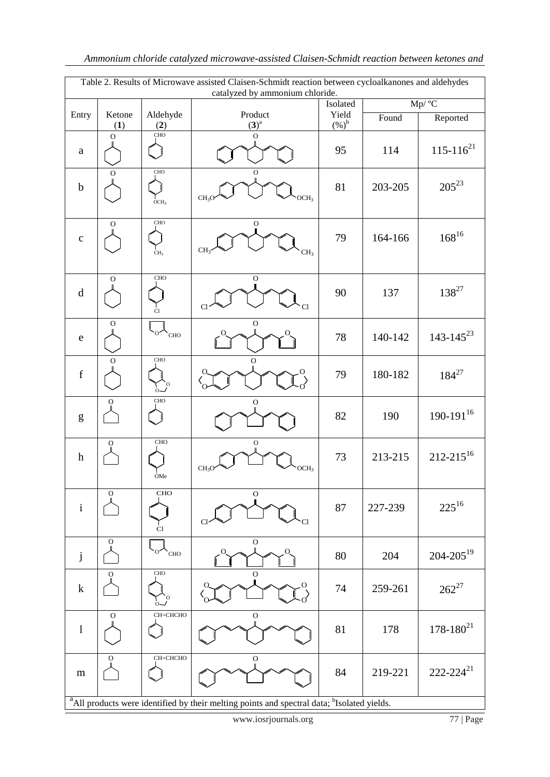| Table 2. Results of Microwave assisted Claisen-Schmidt reaction between cycloalkanones and aldehydes<br>catalyzed by ammonium chloride.                                                                                                                                                                                                                                                                                                      |                |                                                                  |                                       |         |         |                  |
|----------------------------------------------------------------------------------------------------------------------------------------------------------------------------------------------------------------------------------------------------------------------------------------------------------------------------------------------------------------------------------------------------------------------------------------------|----------------|------------------------------------------------------------------|---------------------------------------|---------|---------|------------------|
|                                                                                                                                                                                                                                                                                                                                                                                                                                              |                |                                                                  | Isolated                              | Mp/ °C  |         |                  |
| Entry                                                                                                                                                                                                                                                                                                                                                                                                                                        | Ketone         | Aldehyde                                                         | Product                               | Yield   | Found   | Reported         |
|                                                                                                                                                                                                                                                                                                                                                                                                                                              | (1)            | (2)                                                              | $(3)^a$                               | $(%)^b$ |         |                  |
|                                                                                                                                                                                                                                                                                                                                                                                                                                              | $\overline{O}$ | CHO                                                              | $\overline{O}$                        |         |         |                  |
| $\mathbf{a}$                                                                                                                                                                                                                                                                                                                                                                                                                                 |                |                                                                  |                                       | 95      | 114     | $115 - 116^{21}$ |
|                                                                                                                                                                                                                                                                                                                                                                                                                                              | $\Omega$       | CHO                                                              | $\mathbf O$                           |         |         |                  |
|                                                                                                                                                                                                                                                                                                                                                                                                                                              |                |                                                                  |                                       |         |         | $205^{23}$       |
| $\mathbf b$                                                                                                                                                                                                                                                                                                                                                                                                                                  |                |                                                                  | CH <sub>3</sub><br>OCH3               | 81      | 203-205 |                  |
|                                                                                                                                                                                                                                                                                                                                                                                                                                              |                | OCH <sub>3</sub>                                                 |                                       |         |         |                  |
|                                                                                                                                                                                                                                                                                                                                                                                                                                              | $\mathbf O$    | CHO                                                              | O                                     |         |         |                  |
| $\mathbf C$                                                                                                                                                                                                                                                                                                                                                                                                                                  |                |                                                                  |                                       | 79      | 164-166 | $168^{16}$       |
|                                                                                                                                                                                                                                                                                                                                                                                                                                              |                |                                                                  | CH <sub>3</sub>                       |         |         |                  |
|                                                                                                                                                                                                                                                                                                                                                                                                                                              |                | CH <sub>3</sub>                                                  | CH <sub>3</sub>                       |         |         |                  |
|                                                                                                                                                                                                                                                                                                                                                                                                                                              |                |                                                                  |                                       |         |         |                  |
|                                                                                                                                                                                                                                                                                                                                                                                                                                              | O              | CHO                                                              | $\mathbf O$                           |         |         |                  |
| $\mathrm{d}% \left\  \mathbf{r}_{i}^{*}\right\  _{A_{i}}=\mathrm{d}\left\  \mathbf{r}_{i}^{*}\right\  _{A_{i}}=\mathrm{d}\left\  \mathbf{r}_{i}^{*}\right\  _{A_{i}}=\mathrm{d}\left\  \mathbf{r}_{i}^{*}\right\  _{A_{i}}=\mathrm{d}\left\  \mathbf{r}_{i}^{*}\right\  _{A_{i}}=\mathrm{d}\left\  \mathbf{r}_{i}^{*}\right\  _{A_{i}}=\mathrm{d}\left\  \mathbf{r}_{i}^{*}\right\  _{A_{i}}=\mathrm{d}\left\  \mathbf{r}_{i}^{*}\right\  _$ |                |                                                                  |                                       | 90      | 137     | $138^{27}$       |
|                                                                                                                                                                                                                                                                                                                                                                                                                                              |                | Cl                                                               | Cl<br>Cl                              |         |         |                  |
|                                                                                                                                                                                                                                                                                                                                                                                                                                              | O              |                                                                  | $\rm{O}$                              |         |         |                  |
| ${\rm e}$                                                                                                                                                                                                                                                                                                                                                                                                                                    |                | $\circ \sim_{\text{CHO}}$                                        |                                       | 78      | 140-142 | $143 - 145^{23}$ |
|                                                                                                                                                                                                                                                                                                                                                                                                                                              |                |                                                                  |                                       |         |         |                  |
|                                                                                                                                                                                                                                                                                                                                                                                                                                              | O              | CHO                                                              | O                                     |         |         |                  |
| $\mathbf f$                                                                                                                                                                                                                                                                                                                                                                                                                                  |                |                                                                  |                                       | 79      | 180-182 | $184^{27}$       |
|                                                                                                                                                                                                                                                                                                                                                                                                                                              |                | $\Omega$                                                         |                                       |         |         |                  |
|                                                                                                                                                                                                                                                                                                                                                                                                                                              | $\mathbf{O}$   | CHO                                                              | O                                     |         |         |                  |
| $\mathbf{g}% _{T}=\mathbf{g}_{T}=\mathbf{g}_{T}=\mathbf{g}_{T}=\mathbf{g}_{T}=\mathbf{g}_{T}=\mathbf{g}_{T}=\mathbf{g}_{T}=\mathbf{g}_{T}=\mathbf{g}_{T}=\mathbf{g}_{T}=\mathbf{g}_{T}=\mathbf{g}_{T}=\mathbf{g}_{T}=\mathbf{g}_{T}=\mathbf{g}_{T}=\mathbf{g}_{T}=\mathbf{g}_{T}=\mathbf{g}_{T}=\mathbf{g}_{T}=\mathbf{g}_{T}=\mathbf{g}_{T}=\mathbf{g}_{T}=\mathbf{g}_{T}=\mathbf{g}_{T}=\mathbf{g}_{T}=\mathbf{g}_{T}=\math$               |                |                                                                  |                                       | 82      | 190     | $190 - 191^{16}$ |
|                                                                                                                                                                                                                                                                                                                                                                                                                                              |                |                                                                  |                                       |         |         |                  |
|                                                                                                                                                                                                                                                                                                                                                                                                                                              | O              | CHO                                                              | $\mathbf O$                           |         |         |                  |
| $\boldsymbol{h}$                                                                                                                                                                                                                                                                                                                                                                                                                             |                |                                                                  |                                       | 73      | 213-215 | $212 - 215^{16}$ |
|                                                                                                                                                                                                                                                                                                                                                                                                                                              |                |                                                                  | CH <sub>3</sub> O<br>OCH <sub>3</sub> |         |         |                  |
|                                                                                                                                                                                                                                                                                                                                                                                                                                              |                | OMe                                                              |                                       |         |         |                  |
|                                                                                                                                                                                                                                                                                                                                                                                                                                              | О              | CHO                                                              | $\mathbf O$                           |         |         |                  |
| $\mathbf i$                                                                                                                                                                                                                                                                                                                                                                                                                                  |                |                                                                  |                                       | 87      | 227-239 | $225^{16}$       |
|                                                                                                                                                                                                                                                                                                                                                                                                                                              |                |                                                                  |                                       |         |         |                  |
|                                                                                                                                                                                                                                                                                                                                                                                                                                              |                | Cl                                                               | Cl<br>C1                              |         |         |                  |
|                                                                                                                                                                                                                                                                                                                                                                                                                                              | O              |                                                                  | ${\bf O}$                             |         |         |                  |
| $\mathbf{j}$                                                                                                                                                                                                                                                                                                                                                                                                                                 |                | $\left\langle \mathcal{L}_{\text{O}}\right\rangle _{\text{CHO}}$ |                                       | 80      | 204     | $204 - 205^{19}$ |
|                                                                                                                                                                                                                                                                                                                                                                                                                                              |                |                                                                  |                                       |         |         |                  |
|                                                                                                                                                                                                                                                                                                                                                                                                                                              | $\mathbf O$    | $_{\mathrm{CHO}}$                                                | $\overline{O}$                        |         |         |                  |
| $\mathbf k$                                                                                                                                                                                                                                                                                                                                                                                                                                  |                |                                                                  |                                       | 74      | 259-261 | $262^{27}$       |
|                                                                                                                                                                                                                                                                                                                                                                                                                                              |                |                                                                  |                                       |         |         |                  |
|                                                                                                                                                                                                                                                                                                                                                                                                                                              | O              | СН=СНСНО                                                         | $\mathbf O$                           |         |         |                  |
| $\mathbf{l}$                                                                                                                                                                                                                                                                                                                                                                                                                                 |                |                                                                  |                                       | 81      | 178     | $178 - 180^{21}$ |
|                                                                                                                                                                                                                                                                                                                                                                                                                                              |                |                                                                  |                                       |         |         |                  |
|                                                                                                                                                                                                                                                                                                                                                                                                                                              | $\circ$        | СН=СНСНО                                                         | $\mathbf O$                           |         |         |                  |
| ${\bf m}$                                                                                                                                                                                                                                                                                                                                                                                                                                    |                |                                                                  |                                       | 84      | 219-221 | $222 - 224^{21}$ |
|                                                                                                                                                                                                                                                                                                                                                                                                                                              |                |                                                                  |                                       |         |         |                  |
|                                                                                                                                                                                                                                                                                                                                                                                                                                              |                |                                                                  |                                       |         |         |                  |
| <sup>a</sup> All products were identified by their melting points and spectral data; <sup>b</sup> Isolated yields.                                                                                                                                                                                                                                                                                                                           |                |                                                                  |                                       |         |         |                  |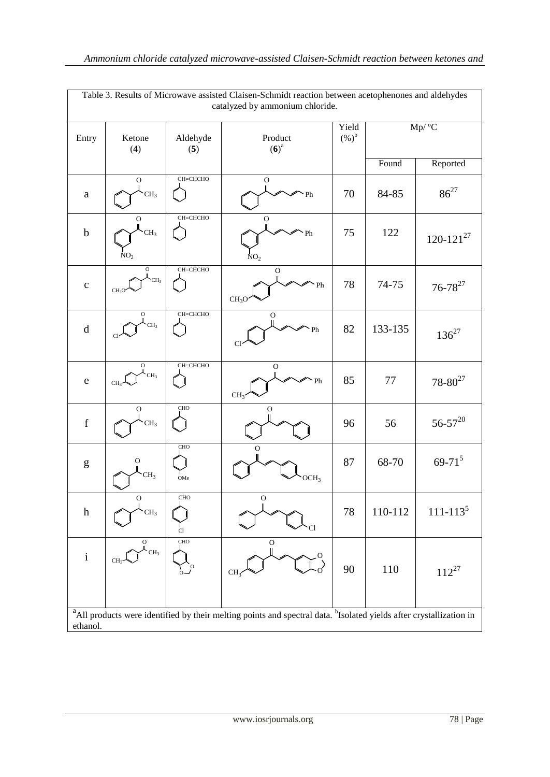| Table 3. Results of Microwave assisted Claisen-Schmidt reaction between acetophenones and aldehydes<br>catalyzed by ammonium chloride.                                                                                                                                                                                                                                                                                         |                                                     |                 |                                         |                  |                     |                  |
|--------------------------------------------------------------------------------------------------------------------------------------------------------------------------------------------------------------------------------------------------------------------------------------------------------------------------------------------------------------------------------------------------------------------------------|-----------------------------------------------------|-----------------|-----------------------------------------|------------------|---------------------|------------------|
| Entry                                                                                                                                                                                                                                                                                                                                                                                                                          | Ketone<br>(4)                                       | Aldehyde<br>(5) | Product<br>$(6)^a$                      | Yield<br>$(%)^b$ | $\overline{Mp}/$ °C |                  |
|                                                                                                                                                                                                                                                                                                                                                                                                                                |                                                     |                 |                                         |                  | Found               | Reported         |
| $\mathbf{a}$                                                                                                                                                                                                                                                                                                                                                                                                                   | $\mathbf O$<br>CH <sub>3</sub>                      | СН=СНСНО        | $\mathcal O$<br>Ph                      | 70               | 84-85               | $86^{27}$        |
| $\mathbf b$                                                                                                                                                                                                                                                                                                                                                                                                                    | ${\rm O}$<br>CH <sub>3</sub><br>NO <sub>2</sub>     | СН=СНСНО        | $\mathbf O$<br>Ph<br>NO <sub>2</sub>    | 75               | 122                 | $120 - 121^{27}$ |
| $\mathbf C$                                                                                                                                                                                                                                                                                                                                                                                                                    | $\mathbf O$<br>CH <sub>3</sub><br>CH <sub>3</sub> O | СН=СНСНО        | $\mathbf{O}$<br>Ph<br>CH <sub>3</sub> O | 78               | 74-75               | $76 - 78^{27}$   |
| $\rm d$                                                                                                                                                                                                                                                                                                                                                                                                                        | $\mathbf O$<br>CH <sub>3</sub><br>Cl                | СН=СНСНО        | $\mathbf O$<br>Ph<br>Cl                 | 82               | 133-135             | $136^{27}$       |
| $\mathbf e$                                                                                                                                                                                                                                                                                                                                                                                                                    | $\mathbf O$<br>CH <sub>3</sub><br>CH <sub>3</sub>   | СН=СНСНО        | ${\rm O}$<br>Ph<br>CH <sub>3</sub>      | 85               | 77                  | $78 - 80^{27}$   |
| $\mathbf f$                                                                                                                                                                                                                                                                                                                                                                                                                    | $\rm{O}$<br>CH <sub>3</sub>                         | CHO             | $\mathcal{O}$                           | 96               | 56                  | $56 - 57^{20}$   |
| $\mathbf{g}% _{T}=\mathbf{g}_{T}=\mathbf{g}_{T}=\mathbf{g}_{T}=\mathbf{g}_{T}=\mathbf{g}_{T}=\mathbf{g}_{T}=\mathbf{g}_{T}=\mathbf{g}_{T}=\mathbf{g}_{T}=\mathbf{g}_{T}=\mathbf{g}_{T}=\mathbf{g}_{T}=\mathbf{g}_{T}=\mathbf{g}_{T}=\mathbf{g}_{T}=\mathbf{g}_{T}=\mathbf{g}_{T}=\mathbf{g}_{T}=\mathbf{g}_{T}=\mathbf{g}_{T}=\mathbf{g}_{T}=\mathbf{g}_{T}=\mathbf{g}_{T}=\mathbf{g}_{T}=\mathbf{g}_{T}=\mathbf{g}_{T}=\math$ | O<br>CH <sub>3</sub>                                | CHO<br>OMe      | O<br>OCH <sub>3</sub>                   | 87               | 68-70               | $69 - 71^{5}$    |
| $\boldsymbol{\textbf{h}}$                                                                                                                                                                                                                                                                                                                                                                                                      | $\mathbf O$<br>CH <sub>3</sub>                      | CHO<br>Cl       | $\mathbf O$<br>Cl                       | 78               | 110-112             | $111 - 1135$     |
| $\rm i$                                                                                                                                                                                                                                                                                                                                                                                                                        | 0<br>CH <sub>3</sub><br>CH <sub>3</sub>             | <b>CHO</b>      | ${\rm O}$<br>CH <sub>3</sub>            | $90\,$           | 110                 | $112^{27}$       |
| <sup>a</sup> All products were identified by their melting points and spectral data. <sup>b</sup> Isolated yields after crystallization in<br>ethanol.                                                                                                                                                                                                                                                                         |                                                     |                 |                                         |                  |                     |                  |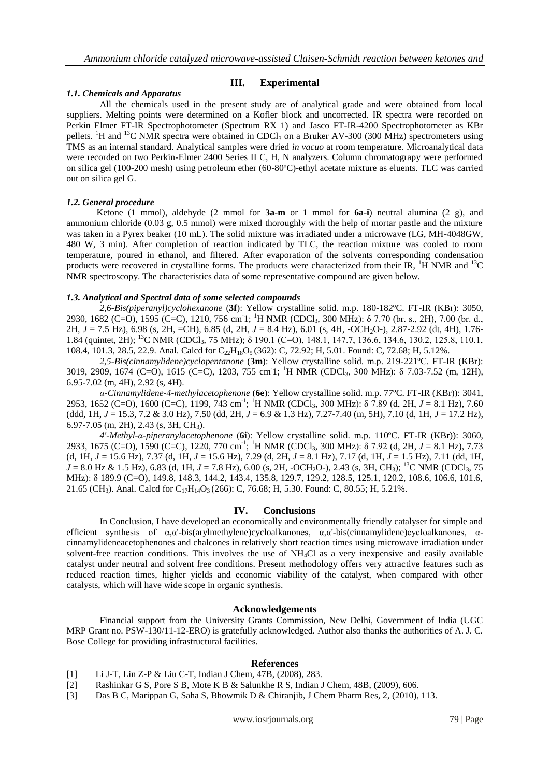# **III. Experimental**

#### *1.1. Chemicals and Apparatus*

All the chemicals used in the present study are of analytical grade and were obtained from local suppliers. Melting points were determined on a Kofler block and uncorrected. IR spectra were recorded on Perkin Elmer FT-IR Spectrophotometer (Spectrum RX 1) and Jasco FT-IR-4200 Spectrophotometer as KBr pellets. <sup>1</sup>H and <sup>13</sup>C NMR spectra were obtained in CDCl<sub>3</sub> on a Bruker AV-300 (300 MHz) spectrometers using TMS as an internal standard. Analytical samples were dried *in vacuo* at room temperature. Microanalytical data were recorded on two Perkin-Elmer 2400 Series II C, H, N analyzers. Column chromatograpy were performed on silica gel (100-200 mesh) using petroleum ether (60-80ºC)-ethyl acetate mixture as eluents. TLC was carried out on silica gel G.

#### *1.2. General procedure*

 Ketone (1 mmol), aldehyde (2 mmol for **3a**-**m** or 1 mmol for **6a**-**i**) neutral alumina (2 g), and ammonium chloride (0.03 g, 0.5 mmol) were mixed thoroughly with the help of mortar pastle and the mixture was taken in a Pyrex beaker (10 mL). The solid mixture was irradiated under a microwave (LG, MH-4048GW, 480 W, 3 min). After completion of reaction indicated by TLC, the reaction mixture was cooled to room temperature, poured in ethanol, and filtered. After evaporation of the solvents corresponding condensation products were recovered in crystalline forms. The products were characterized from their IR,  ${}^{1}H$  NMR and  ${}^{13}C$ NMR spectroscopy. The characteristics data of some representative compound are given below.

#### *1.3. Analytical and Spectral data of some selected compounds*

*2,6-Bis(piperanyl)cyclohexanone* (**3f**): Yellow crystalline solid. m.p. 180-182ºC. FT-IR (KBr): 3050, 2930, 1682 (C=O), 1595 (C=C), 1210, 756 cm<sup>-1</sup>; <sup>1</sup>H NMR (CDCl<sub>3</sub>, 300 MHz): δ 7.70 (br. s., 2H), 7.00 (br. d., 2H, *J* = 7.5 Hz), 6.98 (s, 2H, =CH), 6.85 (d, 2H, *J* = 8.4 Hz), 6.01 (s, 4H, -OCH2O-), 2.87-2.92 (dt, 4H), 1.76- 1.84 (quintet, 2H); <sup>13</sup>C NMR (CDCl3, 75 MHz); δ 190.1 (C=O), 148.1, 147.7, 136.6, 134.6, 130.2, 125.8, 110.1, 108.4, 101.3, 28.5, 22.9. Anal. Calcd for C<sub>22</sub>H<sub>18</sub>O<sub>5</sub> (362): C, 72.92; H, 5.01. Found: C, 72.68; H, 5.12%.

*2,5-Bis(cinnamylidene)cyclopentanone* (**3m**): Yellow crystalline solid. m.p. 219-221ºC. FT-IR (KBr): 3019, 2909, 1674 (C=O), 1615 (C=C), 1203, 755 cm<sup>-1</sup>; <sup>1</sup>H NMR (CDCl<sub>3</sub>, 300 MHz): δ 7.03-7.52 (m, 12H), 6.95-7.02 (m, 4H), 2.92 (s, 4H).

*α-Cinnamylidene-4-methylacetophenone* (**6e**): Yellow crystalline solid. m.p. 77ºC. FT-IR (KBr)): 3041, 2953, 1652 (C=O), 1600 (C=C), 1199, 743 cm<sup>-1</sup>; <sup>1</sup>H NMR (CDCl<sub>3</sub>, 300 MHz): δ 7.89 (d, 2H, *J* = 8.1 Hz), 7.60 (ddd, 1H, *J* = 15.3, 7.2 & 3.0 Hz), 7.50 (dd, 2H, *J* = 6.9 & 1.3 Hz), 7.27-7.40 (m, 5H), 7.10 (d, 1H, *J* = 17.2 Hz), 6.97-7.05 (m, 2H), 2.43 (s, 3H, CH3).

*4'-Methyl-α-piperanylacetophenone* (**6i**): Yellow crystalline solid. m.p. 110ºC. FT-IR (KBr)): 3060, 2933, 1675 (C=O), 1590 (C=C), 1220, 770 cm-1 ; <sup>1</sup>H NMR (CDCl3, 300 MHz): δ 7.92 (d, 2H, *J* = 8.1 Hz), 7.73 (d, 1H, *J* = 15.6 Hz), 7.37 (d, 1H, *J* = 15.6 Hz), 7.29 (d, 2H, *J* = 8.1 Hz), 7.17 (d, 1H, *J* = 1.5 Hz), 7.11 (dd, 1H, *J* = 8.0 Hz & 1.5 Hz), 6.83 (d, 1H, *J* = 7.8 Hz), 6.00 (s, 2H, -OCH<sub>2</sub>O-), 2.43 (s, 3H, CH<sub>3</sub>); <sup>13</sup>C NMR (CDCl<sub>3</sub>, 75 MHz): δ 189.9 (C=O), 149.8, 148.3, 144.2, 143.4, 135.8, 129.7, 129.2, 128.5, 125.1, 120.2, 108.6, 106.6, 101.6, 21.65 (CH<sub>3</sub>). Anal. Calcd for C<sub>17</sub>H<sub>14</sub>O<sub>3</sub> (266): C, 76.68; H, 5.30. Found: C, 80.55; H, 5.21%.

# **IV. Conclusions**

In Conclusion, I have developed an economically and environmentally friendly catalyser for simple and efficient synthesis of  $\alpha$ , $\alpha$ '-bis(arylmethylene)cycloalkanones,  $\alpha$ , $\alpha$ '-bis(cinnamylidene)cycloalkanones,  $\alpha$ cinnamylideneacetophenones and chalcones in relatively short reaction times using microwave irradiation under solvent-free reaction conditions. This involves the use of NH4Cl as a very inexpensive and easily available catalyst under neutral and solvent free conditions. Present methodology offers very attractive features such as reduced reaction times, higher yields and economic viability of the catalyst, when compared with other catalysts, which will have wide scope in organic synthesis.

#### **Acknowledgements**

Financial support from the University Grants Commission, New Delhi, Government of India (UGC MRP Grant no. PSW-130/11-12-ERO) is gratefully acknowledged. Author also thanks the authorities of A. J. C. Bose College for providing infrastructural facilities.

#### **References**

- [1] Li J-T, Lin Z-P & Liu C-T, Indian J Chem*,* 47B, (2008), 283.
- [2] Rashinkar G S, Pore S B, Mote K B & Salunkhe R S, Indian J Chem*,* 48B, **(**2009), 606.
- [3] Das B C, Marippan G, Saha S, Bhowmik D & Chiranjib, J Chem Pharm Res, 2, (2010), 113.